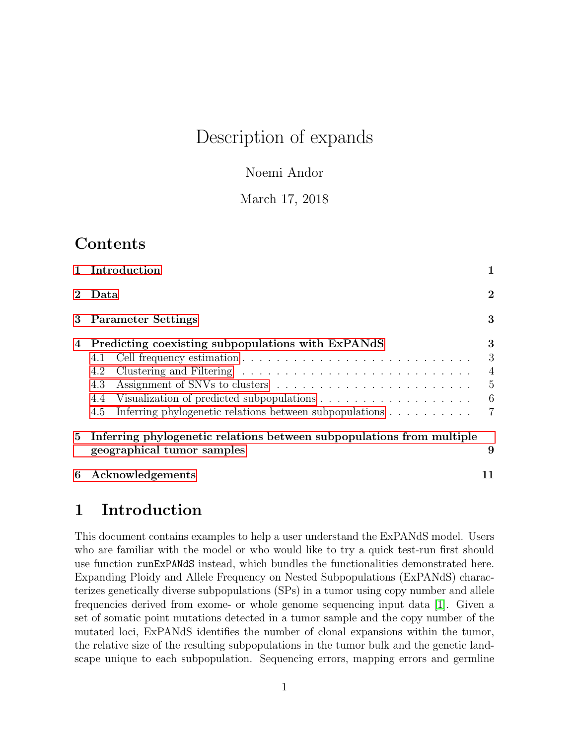# Description of expands

Noemi Andor

March 17, 2018

## Contents

|   | 1 Introduction                                                                                                                                    |                                      |  |  |  |  |  |
|---|---------------------------------------------------------------------------------------------------------------------------------------------------|--------------------------------------|--|--|--|--|--|
|   | Data                                                                                                                                              |                                      |  |  |  |  |  |
|   | 3 Parameter Settings                                                                                                                              |                                      |  |  |  |  |  |
| 4 | Predicting coexisting subpopulations with ExPANdS<br>4.1<br>4.2<br>4.3<br>4.4<br>Inferring phylogenetic relations between subpopulations 7<br>4.5 | 3<br>3<br>$\overline{4}$<br>5<br>- 6 |  |  |  |  |  |
|   | 5 Inferring phylogenetic relations between subpopulations from multiple<br>9<br>geographical tumor samples                                        |                                      |  |  |  |  |  |
| 6 | Acknowledgements                                                                                                                                  |                                      |  |  |  |  |  |

### <span id="page-0-0"></span>1 Introduction

This document contains examples to help a user understand the ExPANdS model. Users who are familiar with the model or who would like to try a quick test-run first should use function runExPANdS instead, which bundles the functionalities demonstrated here. Expanding Ploidy and Allele Frequency on Nested Subpopulations (ExPANdS) characterizes genetically diverse subpopulations (SPs) in a tumor using copy number and allele frequencies derived from exome- or whole genome sequencing input data [\[1\]](#page-10-1). Given a set of somatic point mutations detected in a tumor sample and the copy number of the mutated loci, ExPANdS identifies the number of clonal expansions within the tumor, the relative size of the resulting subpopulations in the tumor bulk and the genetic landscape unique to each subpopulation. Sequencing errors, mapping errors and germline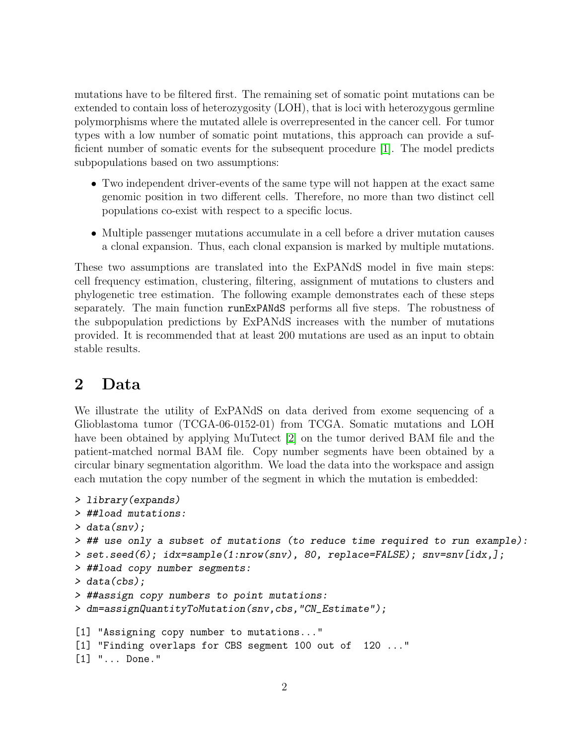mutations have to be filtered first. The remaining set of somatic point mutations can be extended to contain loss of heterozygosity (LOH), that is loci with heterozygous germline polymorphisms where the mutated allele is overrepresented in the cancer cell. For tumor types with a low number of somatic point mutations, this approach can provide a sufficient number of somatic events for the subsequent procedure [\[1\]](#page-10-1). The model predicts subpopulations based on two assumptions:

- Two independent driver-events of the same type will not happen at the exact same genomic position in two different cells. Therefore, no more than two distinct cell populations co-exist with respect to a specific locus.
- Multiple passenger mutations accumulate in a cell before a driver mutation causes a clonal expansion. Thus, each clonal expansion is marked by multiple mutations.

These two assumptions are translated into the ExPANdS model in five main steps: cell frequency estimation, clustering, filtering, assignment of mutations to clusters and phylogenetic tree estimation. The following example demonstrates each of these steps separately. The main function runExPANdS performs all five steps. The robustness of the subpopulation predictions by ExPANdS increases with the number of mutations provided. It is recommended that at least 200 mutations are used as an input to obtain stable results.

### <span id="page-1-0"></span>2 Data

We illustrate the utility of ExPANdS on data derived from exome sequencing of a Glioblastoma tumor (TCGA-06-0152-01) from TCGA. Somatic mutations and LOH have been obtained by applying MuTutect [\[2\]](#page-10-2) on the tumor derived BAM file and the patient-matched normal BAM file. Copy number segments have been obtained by a circular binary segmentation algorithm. We load the data into the workspace and assign each mutation the copy number of the segment in which the mutation is embedded:

```
> library(expands)
> ##load mutations:
> data(snv);
> ## use only a subset of mutations (to reduce time required to run example):
> set.seed(6); idx=sample(1:nrow(snv), 80, replace=FALSE); snv=snv[idx,];
> ##load copy number segments:
> data(cbs);
> ##assign copy numbers to point mutations:
> dm=assignQuantityToMutation(snv,cbs,"CN_Estimate");
[1] "Assigning copy number to mutations..."
[1] "Finding overlaps for CBS segment 100 out of 120 ..."
[1] "... Done."
```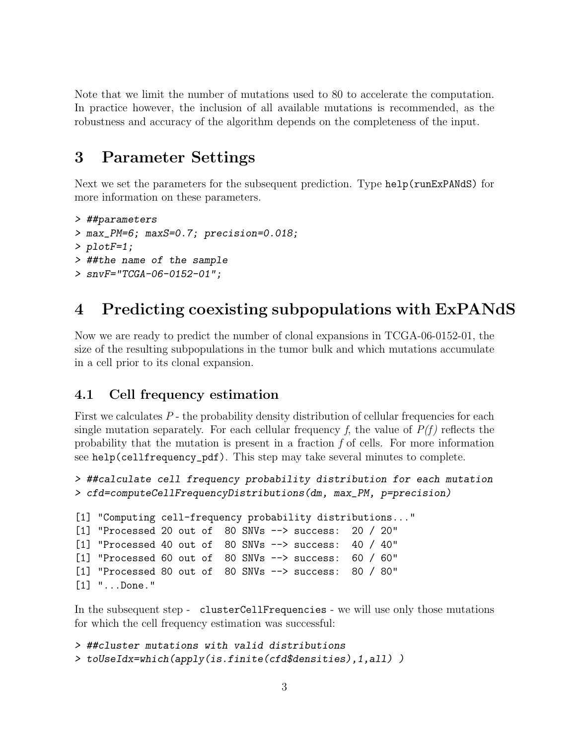Note that we limit the number of mutations used to 80 to accelerate the computation. In practice however, the inclusion of all available mutations is recommended, as the robustness and accuracy of the algorithm depends on the completeness of the input.

### <span id="page-2-0"></span>3 Parameter Settings

Next we set the parameters for the subsequent prediction. Type help(runExPANdS) for more information on these parameters.

```
> ##parameters
> max_PM=6; maxS=0.7; precision=0.018;
> plotF=1;
> ##the name of the sample
> snvF="TCGA-06-0152-01";
```
### <span id="page-2-1"></span>4 Predicting coexisting subpopulations with ExPANdS

Now we are ready to predict the number of clonal expansions in TCGA-06-0152-01, the size of the resulting subpopulations in the tumor bulk and which mutations accumulate in a cell prior to its clonal expansion.

#### <span id="page-2-2"></span>4.1 Cell frequency estimation

First we calculates P - the probability density distribution of cellular frequencies for each single mutation separately. For each cellular frequency f, the value of  $P(f)$  reflects the probability that the mutation is present in a fraction  $f$  of cells. For more information see help(cellfrequency\_pdf). This step may take several minutes to complete.

```
> ##calculate cell frequency probability distribution for each mutation
> cfd=computeCellFrequencyDistributions(dm, max_PM, p=precision)
```

```
[1] "Computing cell-frequency probability distributions..."
[1] "Processed 20 out of 80 SNVs --> success: 20 / 20"
[1] "Processed 40 out of 80 SNVs --> success: 40 / 40"
[1] "Processed 60 out of 80 SNVs --> success: 60 / 60"
[1] "Processed 80 out of 80 SNVs --> success: 80 / 80"
[1] "...Done."
```
In the subsequent step - clusterCellFrequencies - we will use only those mutations for which the cell frequency estimation was successful:

```
> ##cluster mutations with valid distributions
> toUseIdx=which(apply(is.finite(cfd$densities),1,all) )
```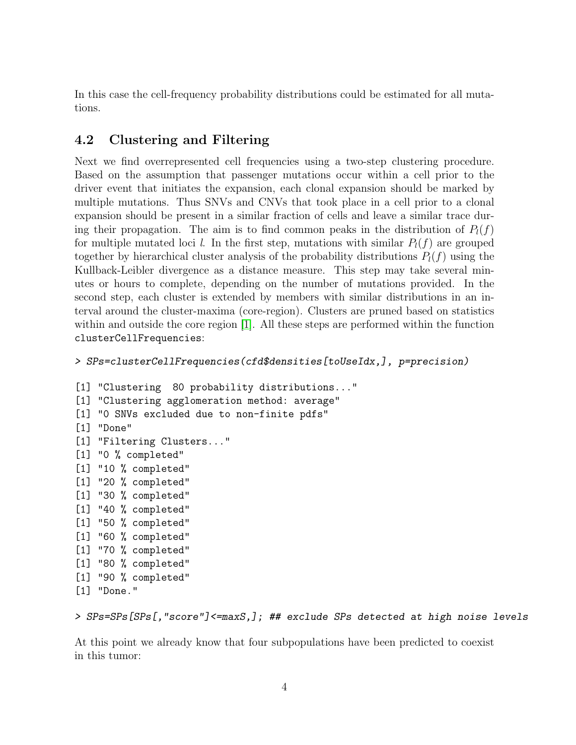In this case the cell-frequency probability distributions could be estimated for all mutations.

### <span id="page-3-0"></span>4.2 Clustering and Filtering

Next we find overrepresented cell frequencies using a two-step clustering procedure. Based on the assumption that passenger mutations occur within a cell prior to the driver event that initiates the expansion, each clonal expansion should be marked by multiple mutations. Thus SNVs and CNVs that took place in a cell prior to a clonal expansion should be present in a similar fraction of cells and leave a similar trace during their propagation. The aim is to find common peaks in the distribution of  $P_l(f)$ for multiple mutated loci l. In the first step, mutations with similar  $P_l(f)$  are grouped together by hierarchical cluster analysis of the probability distributions  $P_l(f)$  using the Kullback-Leibler divergence as a distance measure. This step may take several minutes or hours to complete, depending on the number of mutations provided. In the second step, each cluster is extended by members with similar distributions in an interval around the cluster-maxima (core-region). Clusters are pruned based on statistics within and outside the core region [\[1\]](#page-10-1). All these steps are performed within the function clusterCellFrequencies:

```
> SPs=clusterCellFrequencies(cfd$densities[toUseIdx,], p=precision)
```

```
[1] "Clustering 80 probability distributions..."
[1] "Clustering agglomeration method: average"
[1] "0 SNVs excluded due to non-finite pdfs"
[1] "Done"
[1] "Filtering Clusters..."
[1] "0 % completed"
[1] "10 % completed"
[1] "20 % completed"
[1] "30 % completed"
[1] "40 % completed"
[1] "50 % completed"
[1] "60 % completed"
[1] "70 % completed"
[1] "80 % completed"
[1] "90 % completed"
[1] "Done."
```
> SPs=SPs[SPs[,"score"]<=maxS,]; ## exclude SPs detected at high noise levels

At this point we already know that four subpopulations have been predicted to coexist in this tumor: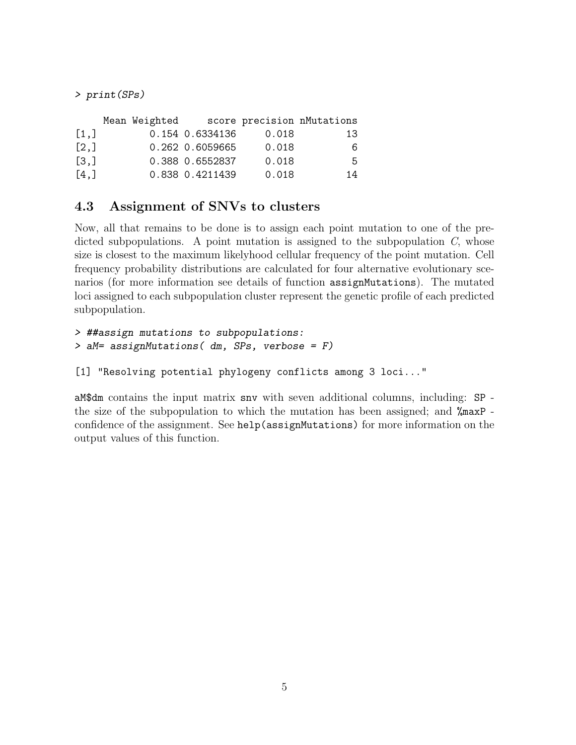> print(SPs)

|                    | Mean Weighted |                 |       | score precision nMutations |
|--------------------|---------------|-----------------|-------|----------------------------|
| [1,]               |               | 0.154 0.6334136 | 0.018 | 13                         |
| $\left[2, \right]$ |               | 0.262 0.6059665 | 0.018 | 6.                         |
| $\left[3, \right]$ |               | 0.388 0.6552837 | 0.018 | 5.                         |
| [4,]               |               | 0.838 0.4211439 | 0.018 | 14                         |

### <span id="page-4-0"></span>4.3 Assignment of SNVs to clusters

Now, all that remains to be done is to assign each point mutation to one of the predicted subpopulations. A point mutation is assigned to the subpopulation  $C$ , whose size is closest to the maximum likelyhood cellular frequency of the point mutation. Cell frequency probability distributions are calculated for four alternative evolutionary scenarios (for more information see details of function assignMutations). The mutated loci assigned to each subpopulation cluster represent the genetic profile of each predicted subpopulation.

```
> ##assign mutations to subpopulations:
> aM= assignMutations( dm, SPs, verbose = F)
```

```
[1] "Resolving potential phylogeny conflicts among 3 loci..."
```
aM\$dm contains the input matrix snv with seven additional columns, including: SP the size of the subpopulation to which the mutation has been assigned; and %maxP confidence of the assignment. See help(assignMutations) for more information on the output values of this function.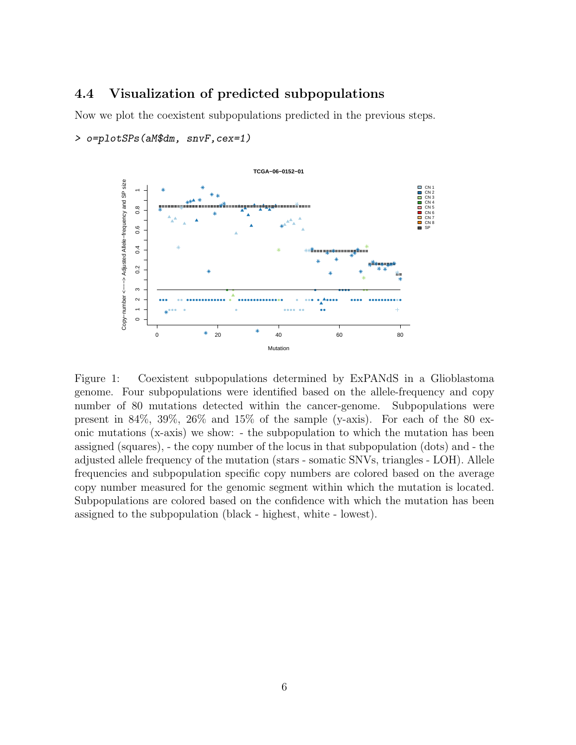#### <span id="page-5-0"></span>4.4 Visualization of predicted subpopulations

Now we plot the coexistent subpopulations predicted in the previous steps.





Figure 1: Coexistent subpopulations determined by ExPANdS in a Glioblastoma genome. Four subpopulations were identified based on the allele-frequency and copy number of 80 mutations detected within the cancer-genome. Subpopulations were present in  $84\%$ ,  $39\%$ ,  $26\%$  and  $15\%$  of the sample (y-axis). For each of the 80 exonic mutations (x-axis) we show: - the subpopulation to which the mutation has been assigned (squares), - the copy number of the locus in that subpopulation (dots) and - the adjusted allele frequency of the mutation (stars - somatic SNVs, triangles - LOH). Allele frequencies and subpopulation specific copy numbers are colored based on the average copy number measured for the genomic segment within which the mutation is located. Subpopulations are colored based on the confidence with which the mutation has been assigned to the subpopulation (black - highest, white - lowest).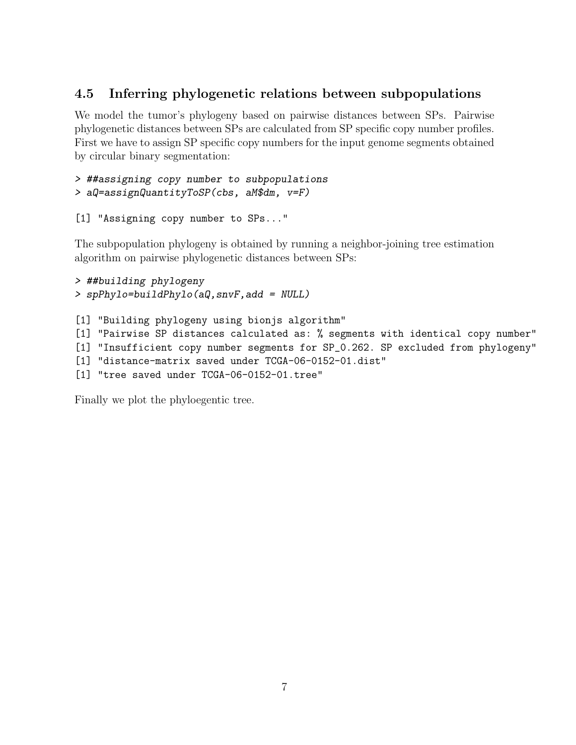#### <span id="page-6-0"></span>4.5 Inferring phylogenetic relations between subpopulations

We model the tumor's phylogeny based on pairwise distances between SPs. Pairwise phylogenetic distances between SPs are calculated from SP specific copy number profiles. First we have to assign SP specific copy numbers for the input genome segments obtained by circular binary segmentation:

```
> ##assigning copy number to subpopulations
> aQ=assignQuantityToSP(cbs, aM$dm, v=F)
```
[1] "Assigning copy number to SPs..."

The subpopulation phylogeny is obtained by running a neighbor-joining tree estimation algorithm on pairwise phylogenetic distances between SPs:

```
> ##building phylogeny
> spPhylo=buildPhylo(aQ,snvF,add = NULL)
```
[1] "Building phylogeny using bionjs algorithm" [1] "Pairwise SP distances calculated as: % segments with identical copy number" [1] "Insufficient copy number segments for SP\_0.262. SP excluded from phylogeny" [1] "distance-matrix saved under TCGA-06-0152-01.dist" [1] "tree saved under TCGA-06-0152-01.tree"

Finally we plot the phyloegentic tree.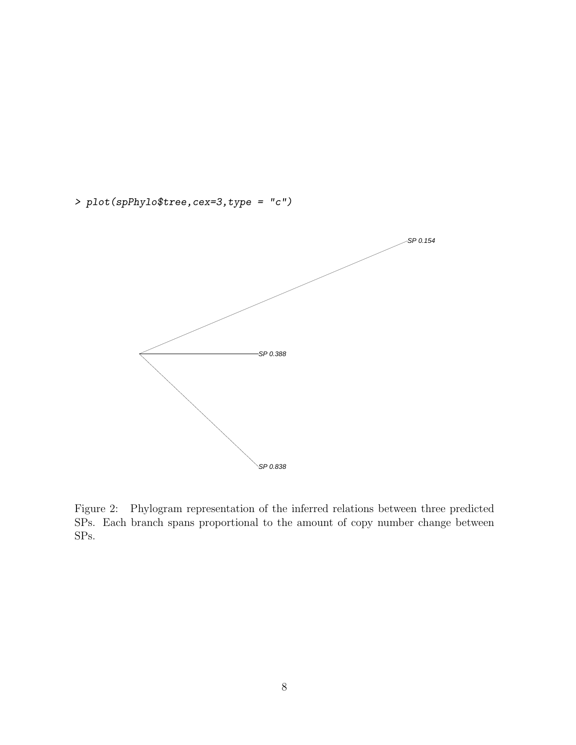

> plot(spPhylo\$tree,cex=3,type = "c")

Figure 2: Phylogram representation of the inferred relations between three predicted SPs. Each branch spans proportional to the amount of copy number change between SPs.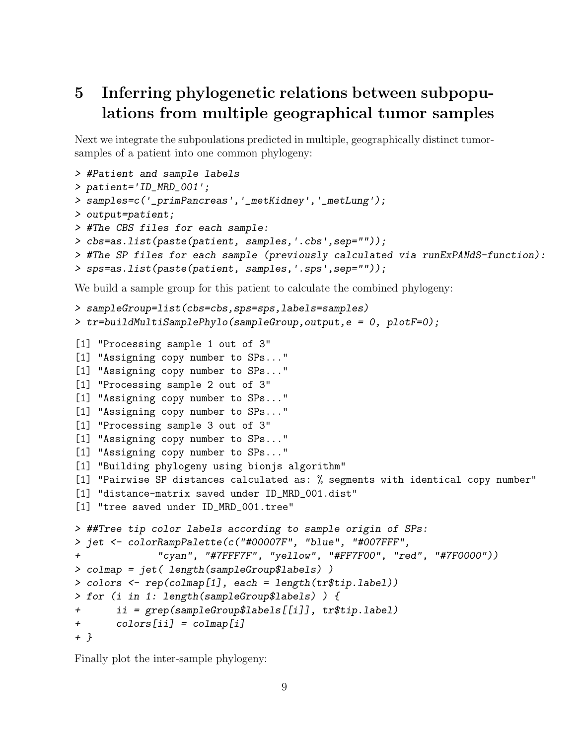# <span id="page-8-0"></span>5 Inferring phylogenetic relations between subpopulations from multiple geographical tumor samples

Next we integrate the subpoulations predicted in multiple, geographically distinct tumorsamples of a patient into one common phylogeny:

```
> #Patient and sample labels
> patient='ID_MRD_001';
> samples=c('_primPancreas','_metKidney','_metLung');
> output=patient;
> #The CBS files for each sample:
> cbs=as.list(paste(patient, samples,'.cbs',sep=""));
> #The SP files for each sample (previously calculated via runExPANdS-function):
> sps=as.list(paste(patient, samples,'.sps',sep=""));
We build a sample group for this patient to calculate the combined phylogeny:
> sampleGroup=list(cbs=cbs,sps=sps,labels=samples)
> tr=buildMultiSamplePhylo(sampleGroup,output,e = 0, plotF=0);
[1] "Processing sample 1 out of 3"
[1] "Assigning copy number to SPs..."
[1] "Assigning copy number to SPs..."
[1] "Processing sample 2 out of 3"
[1] "Assigning copy number to SPs..."
[1] "Assigning copy number to SPs..."
[1] "Processing sample 3 out of 3"
```

```
[1] "Assigning copy number to SPs..."
```
- [1] "Assigning copy number to SPs..."
- [1] "Building phylogeny using bionjs algorithm"
- [1] "Pairwise SP distances calculated as: % segments with identical copy number"
- [1] "distance-matrix saved under ID\_MRD\_001.dist"
- [1] "tree saved under ID\_MRD\_001.tree"

```
> ##Tree tip color labels according to sample origin of SPs:
> jet <- colorRampPalette(c("#00007F", "blue", "#007FFF",
+ "cyan", "#7FFF7F", "yellow", "#FF7F00", "red", "#7F0000"))
> colmap = jet( length(sampleGroup$labels) )
> colors <- rep(colmap[1], each = length(tr$tip.label))
> for (i in 1: length(sampleGroup$labels) ) {
+ ii = grep(sampleGroup$labels[[i]], tr$tip.label)
+ colors[ii] = colmap[i]
+ }
```
Finally plot the inter-sample phylogeny: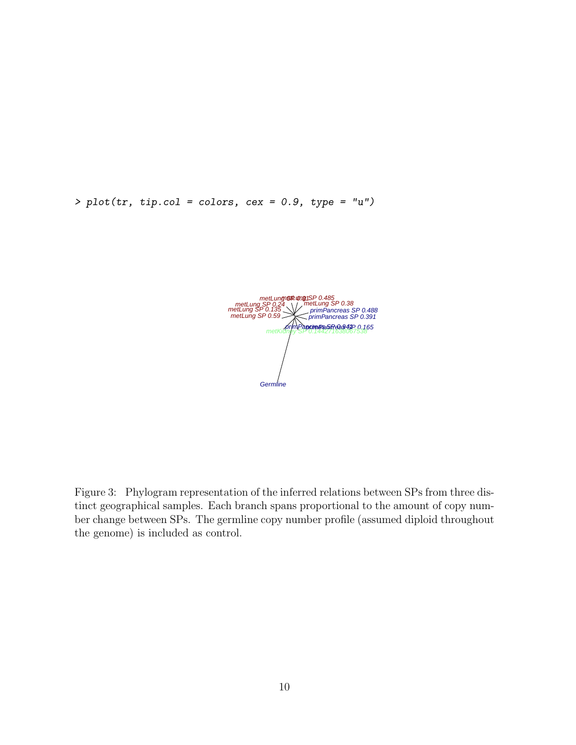$> plot(tr, tip. col = colors, cex = 0.9, type = "u")$ 



Figure 3: Phylogram representation of the inferred relations between SPs from three distinct geographical samples. Each branch spans proportional to the amount of copy number change between SPs. The germline copy number profile (assumed diploid throughout the genome) is included as control.